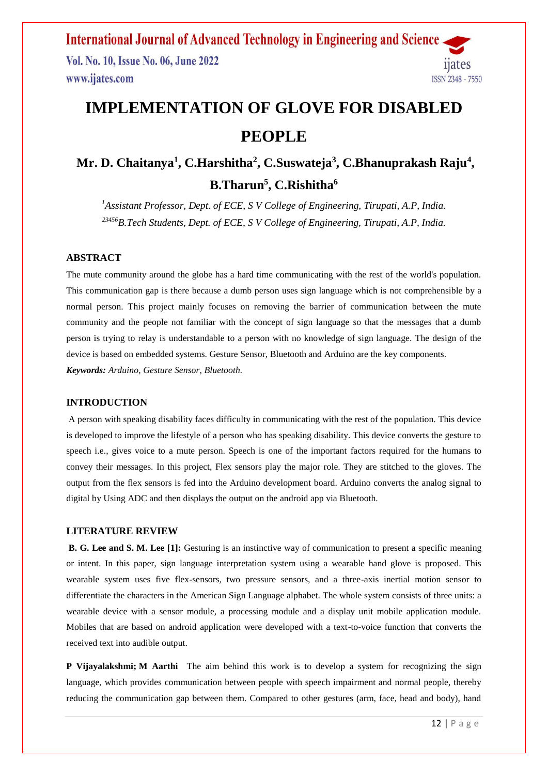**International Journal of Advanced Technology in Engineering and Science** Vol. No. 10, Issue No. 06, June 2022 11ates www.ijates.com **ISSN 2348 - 7550** 

# **IMPLEMENTATION OF GLOVE FOR DISABLED PEOPLE**

## **Mr. D. Chaitanya<sup>1</sup> , C.Harshitha<sup>2</sup> , C.Suswateja<sup>3</sup> , C.Bhanuprakash Raju<sup>4</sup> , B.Tharun<sup>5</sup> , C.Rishitha<sup>6</sup>**

*<sup>1</sup>Assistant Professor, Dept. of ECE, S V College of Engineering, Tirupati, A.P, India. <sup>23456</sup>B.Tech Students, Dept. of ECE, S V College of Engineering, Tirupati, A.P, India.*

#### **ABSTRACT**

The mute community around the globe has a hard time communicating with the rest of the world's population. This communication gap is there because a dumb person uses sign language which is not comprehensible by a normal person. This project mainly focuses on removing the barrier of communication between the mute community and the people not familiar with the concept of sign language so that the messages that a dumb person is trying to relay is understandable to a person with no knowledge of sign language. The design of the device is based on embedded systems. Gesture Sensor, Bluetooth and Arduino are the key components. *Keywords: Arduino, Gesture Sensor, Bluetooth.*

#### **INTRODUCTION**

A person with speaking disability faces difficulty in communicating with the rest of the population. This device is developed to improve the lifestyle of a person who has speaking disability. This device converts the gesture to speech i.e., gives voice to a mute person. Speech is one of the important factors required for the humans to convey their messages. In this project, Flex sensors play the major role. They are stitched to the gloves. The output from the flex sensors is fed into the Arduino development board. Arduino converts the analog signal to digital by Using ADC and then displays the output on the android app via Bluetooth.

#### **LITERATURE REVIEW**

**B. G. Lee and S. M. Lee [1]:** Gesturing is an instinctive way of communication to present a specific meaning or intent. In this paper, sign language interpretation system using a wearable hand glove is proposed. This wearable system uses five flex-sensors, two pressure sensors, and a three-axis inertial motion sensor to differentiate the characters in the American Sign Language alphabet. The whole system consists of three units: a wearable device with a sensor module, a processing module and a display unit mobile application module. Mobiles that are based on android application were developed with a text-to-voice function that converts the received text into audible output.

**[P Vijayalakshmi;](https://ieeexplore.ieee.org/author/37393650100) [M Aarthi](https://ieeexplore.ieee.org/author/37085838669)** The aim behind this work is to develop a system for recognizing the sign language, which provides communication between people with speech impairment and normal people, thereby reducing the communication gap between them. Compared to other gestures (arm, face, head and body), hand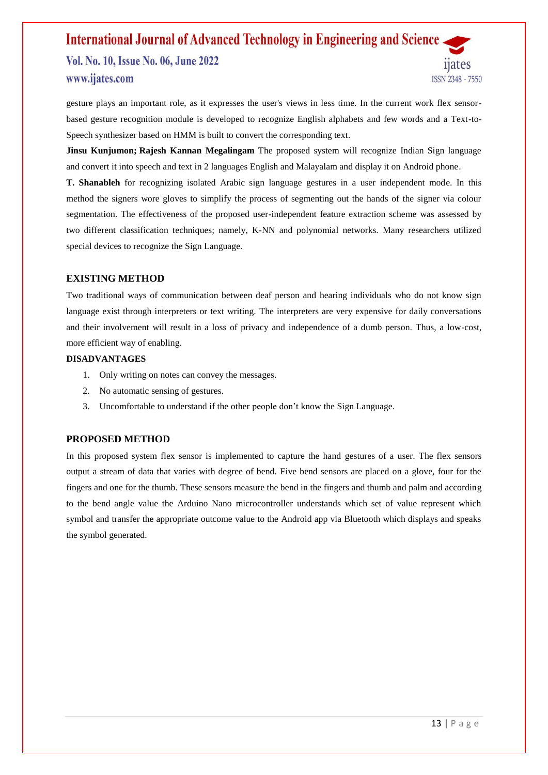### **International Journal of Advanced Technology in Engineering and Science** Vol. No. 10, Issue No. 06, June 2022 uates www.ijates.com ISSN 2348 - 7550

gesture plays an important role, as it expresses the user's views in less time. In the current work flex sensorbased gesture recognition module is developed to recognize English alphabets and few words and a Text-to-Speech synthesizer based on HMM is built to convert the corresponding text.

**[Jinsu Kunjumon;](https://ieeexplore.ieee.org/author/37087501497) [Rajesh Kannan Megalingam](https://ieeexplore.ieee.org/author/37394324100)** The proposed system will recognize Indian Sign language and convert it into speech and text in 2 languages English and Malayalam and display it on Android phone.

**T. Shanableh** for recognizing isolated Arabic sign language gestures in a user independent mode. In this method the signers wore gloves to simplify the process of segmenting out the hands of the signer via colour segmentation. The effectiveness of the proposed user-independent feature extraction scheme was assessed by two different classification techniques; namely, K-NN and polynomial networks. Many researchers utilized special devices to recognize the Sign Language.

### **EXISTING METHOD**

Two traditional ways of communication between deaf person and hearing individuals who do not know sign language exist through interpreters or text writing. The interpreters are very expensive for daily conversations and their involvement will result in a loss of privacy and independence of a dumb person. Thus, a low-cost, more efficient way of enabling.

#### **DISADVANTAGES**

- 1. Only writing on notes can convey the messages.
- 2. No automatic sensing of gestures.
- 3. Uncomfortable to understand if the other people don't know the Sign Language.

#### **PROPOSED METHOD**

In this proposed system flex sensor is implemented to capture the hand gestures of a user. The flex sensors output a stream of data that varies with degree of bend. Five bend sensors are placed on a glove, four for the fingers and one for the thumb. These sensors measure the bend in the fingers and thumb and palm and according to the bend angle value the Arduino Nano microcontroller understands which set of value represent which symbol and transfer the appropriate outcome value to the Android app via Bluetooth which displays and speaks the symbol generated.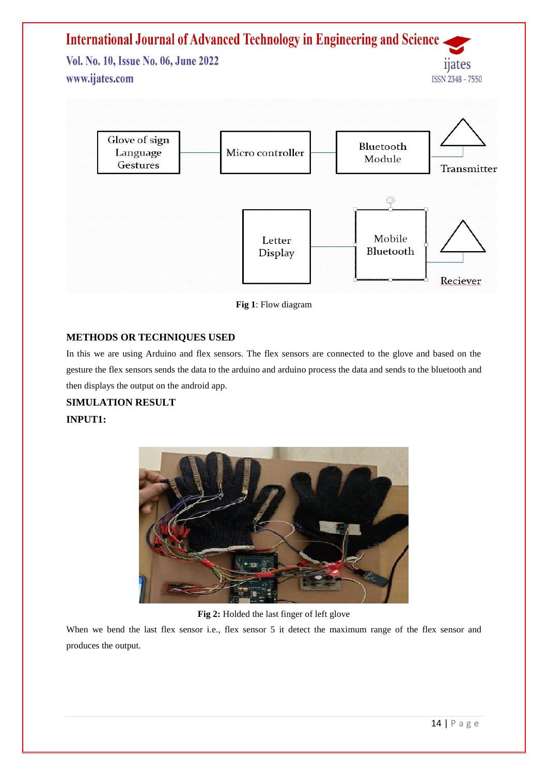

**Fig 1**: Flow diagram

## **METHODS OR TECHNIQUES USED**

In this we are using Arduino and flex sensors. The flex sensors are connected to the glove and based on the gesture the flex sensors sends the data to the arduino and arduino process the data and sends to the bluetooth and then displays the output on the android app.

**SIMULATION RESULT INPUT1:**



**Fig 2:** Holded the last finger of left glove

When we bend the last flex sensor i.e., flex sensor 5 it detect the maximum range of the flex sensor and produces the output.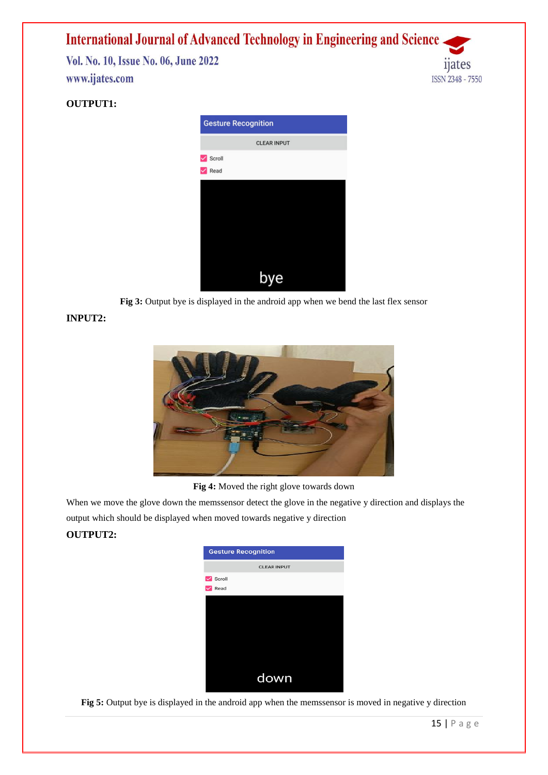**International Journal of Advanced Technology in Engineering and Science** Vol. No. 10, Issue No. 06, June 2022 www.ijates.com ISSN 2348 - 7550

## **OUTPUT1:**



**Fig 3:** Output bye is displayed in the android app when we bend the last flex sensor

## **INPUT2:**



**Fig 4:** Moved the right glove towards down

When we move the glove down the memssensor detect the glove in the negative y direction and displays the output which should be displayed when moved towards negative y direction

## **OUTPUT2:**



**Fig 5:** Output bye is displayed in the android app when the memssensor is moved in negative y direction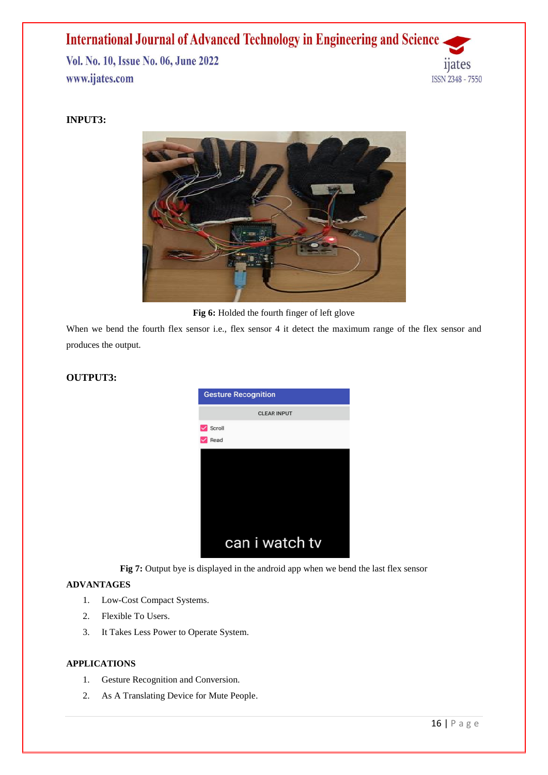## **International Journal of Advanced Technology in Engineering and Science** Vol. No. 10, Issue No. 06, June 2022 www.ijates.com



## **INPUT3:**



**Fig 6:** Holded the fourth finger of left glove

When we bend the fourth flex sensor i.e., flex sensor 4 it detect the maximum range of the flex sensor and produces the output.

## **OUTPUT3:**



Fig 7: Output bye is displayed in the android app when we bend the last flex sensor

## **ADVANTAGES**

- 1. Low-Cost Compact Systems.
- 2. Flexible To Users.
- 3. It Takes Less Power to Operate System.

## **APPLICATIONS**

- 1. Gesture Recognition and Conversion.
- 2. As A Translating Device for Mute People.